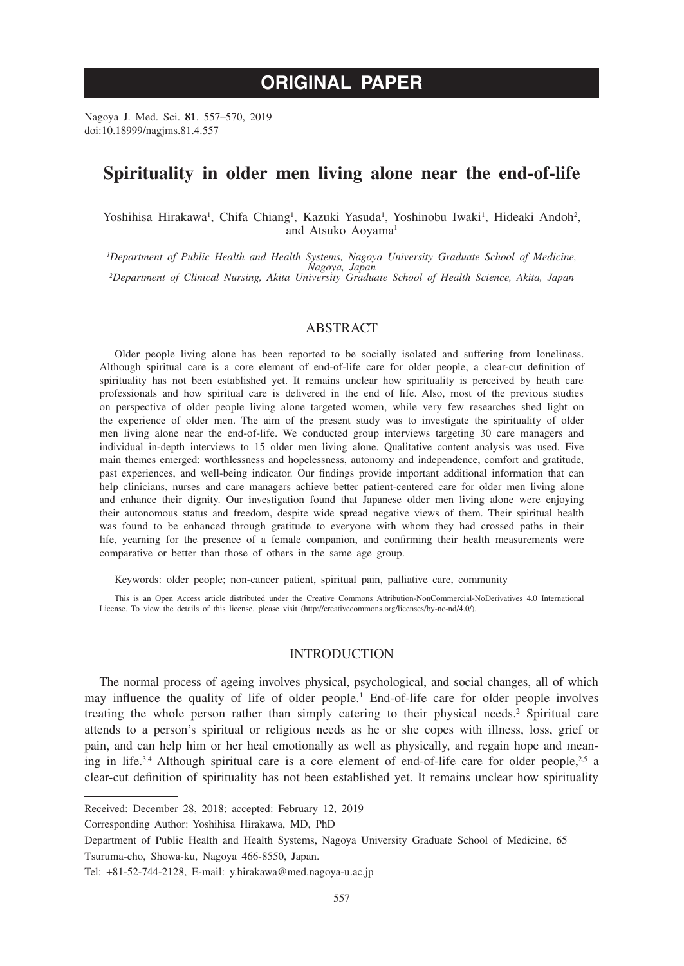# **ORIGINAL PAPER**

Nagoya J. Med. Sci. **81**. 557–570, 2019 doi:10.18999/nagjms.81.4.557

## **Spirituality in older men living alone near the end-of-life**

Yoshihisa Hirakawa<sup>1</sup>, Chifa Chiang<sup>1</sup>, Kazuki Yasuda<sup>1</sup>, Yoshinobu Iwaki<sup>1</sup>, Hideaki Andoh<sup>2</sup>, and Atsuko Aoyama<sup>1</sup>

*1 Department of Public Health and Health Systems, Nagoya University Graduate School of Medicine, Nagoya, Japan <sup>2</sup> Department of Clinical Nursing, Akita University Graduate School of Health Science, Akita, Japan*

## ABSTRACT

Older people living alone has been reported to be socially isolated and suffering from loneliness. Although spiritual care is a core element of end-of-life care for older people, a clear-cut definition of spirituality has not been established yet. It remains unclear how spirituality is perceived by heath care professionals and how spiritual care is delivered in the end of life. Also, most of the previous studies on perspective of older people living alone targeted women, while very few researches shed light on the experience of older men. The aim of the present study was to investigate the spirituality of older men living alone near the end-of-life. We conducted group interviews targeting 30 care managers and individual in-depth interviews to 15 older men living alone. Qualitative content analysis was used. Five main themes emerged: worthlessness and hopelessness, autonomy and independence, comfort and gratitude, past experiences, and well-being indicator. Our findings provide important additional information that can help clinicians, nurses and care managers achieve better patient-centered care for older men living alone and enhance their dignity. Our investigation found that Japanese older men living alone were enjoying their autonomous status and freedom, despite wide spread negative views of them. Their spiritual health was found to be enhanced through gratitude to everyone with whom they had crossed paths in their life, yearning for the presence of a female companion, and confirming their health measurements were comparative or better than those of others in the same age group.

Keywords: older people; non-cancer patient, spiritual pain, palliative care, community

This is an Open Access article distributed under the Creative Commons Attribution-NonCommercial-NoDerivatives 4.0 International License. To view the details of this license, please visit (http://creativecommons.org/licenses/by-nc-nd/4.0/).

## INTRODUCTION

The normal process of ageing involves physical, psychological, and social changes, all of which may influence the quality of life of older people.<sup>1</sup> End-of-life care for older people involves treating the whole person rather than simply catering to their physical needs.<sup>2</sup> Spiritual care attends to a person's spiritual or religious needs as he or she copes with illness, loss, grief or pain, and can help him or her heal emotionally as well as physically, and regain hope and meaning in life.<sup>3,4</sup> Although spiritual care is a core element of end-of-life care for older people,<sup>2,5</sup> a clear-cut definition of spirituality has not been established yet. It remains unclear how spirituality

Received: December 28, 2018; accepted: February 12, 2019

Corresponding Author: Yoshihisa Hirakawa, MD, PhD

Department of Public Health and Health Systems, Nagoya University Graduate School of Medicine, 65 Tsuruma-cho, Showa-ku, Nagoya 466-8550, Japan.

Tel: +81-52-744-2128, E-mail: y.hirakawa@med.nagoya-u.ac.jp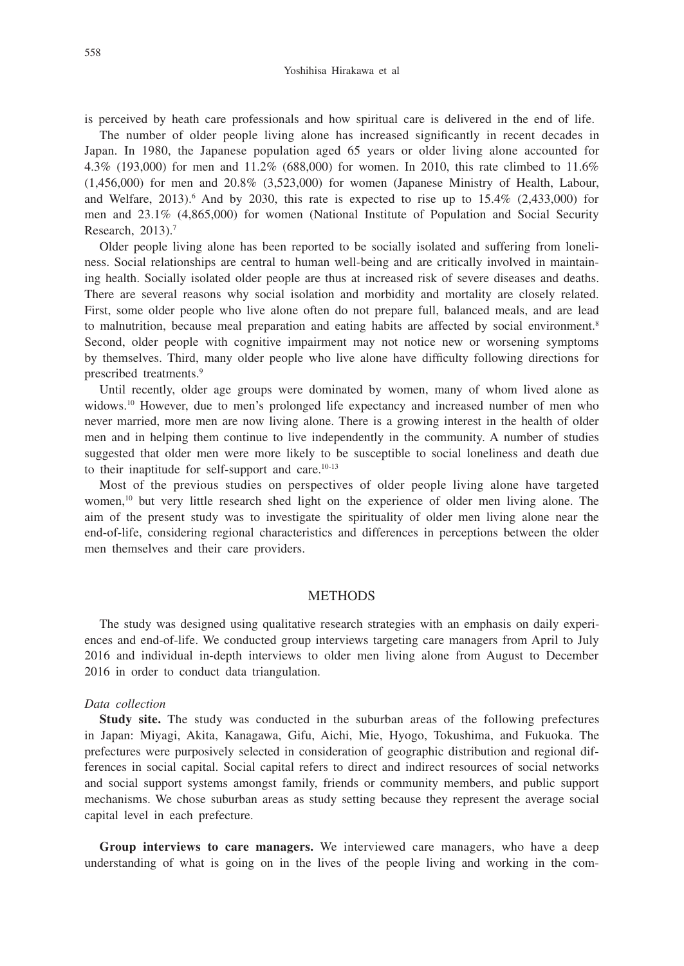is perceived by heath care professionals and how spiritual care is delivered in the end of life.

The number of older people living alone has increased significantly in recent decades in Japan. In 1980, the Japanese population aged 65 years or older living alone accounted for 4.3% (193,000) for men and 11.2% (688,000) for women. In 2010, this rate climbed to 11.6%  $(1.456,000)$  for men and  $20.8\%$   $(3.523,000)$  for women (Japanese Ministry of Health, Labour, and Welfare, 2013).<sup>6</sup> And by 2030, this rate is expected to rise up to  $15.4\%$  (2,433,000) for men and 23.1% (4,865,000) for women (National Institute of Population and Social Security Research, 2013).7

Older people living alone has been reported to be socially isolated and suffering from loneliness. Social relationships are central to human well-being and are critically involved in maintaining health. Socially isolated older people are thus at increased risk of severe diseases and deaths. There are several reasons why social isolation and morbidity and mortality are closely related. First, some older people who live alone often do not prepare full, balanced meals, and are lead to malnutrition, because meal preparation and eating habits are affected by social environment.<sup>8</sup> Second, older people with cognitive impairment may not notice new or worsening symptoms by themselves. Third, many older people who live alone have difficulty following directions for prescribed treatments.9

Until recently, older age groups were dominated by women, many of whom lived alone as widows.<sup>10</sup> However, due to men's prolonged life expectancy and increased number of men who never married, more men are now living alone. There is a growing interest in the health of older men and in helping them continue to live independently in the community. A number of studies suggested that older men were more likely to be susceptible to social loneliness and death due to their inaptitude for self-support and care.10-13

Most of the previous studies on perspectives of older people living alone have targeted women,<sup>10</sup> but very little research shed light on the experience of older men living alone. The aim of the present study was to investigate the spirituality of older men living alone near the end-of-life, considering regional characteristics and differences in perceptions between the older men themselves and their care providers.

#### **METHODS**

The study was designed using qualitative research strategies with an emphasis on daily experiences and end-of-life. We conducted group interviews targeting care managers from April to July 2016 and individual in-depth interviews to older men living alone from August to December 2016 in order to conduct data triangulation.

#### *Data collection*

**Study site.** The study was conducted in the suburban areas of the following prefectures in Japan: Miyagi, Akita, Kanagawa, Gifu, Aichi, Mie, Hyogo, Tokushima, and Fukuoka. The prefectures were purposively selected in consideration of geographic distribution and regional differences in social capital. Social capital refers to direct and indirect resources of social networks and social support systems amongst family, friends or community members, and public support mechanisms. We chose suburban areas as study setting because they represent the average social capital level in each prefecture.

**Group interviews to care managers.** We interviewed care managers, who have a deep understanding of what is going on in the lives of the people living and working in the com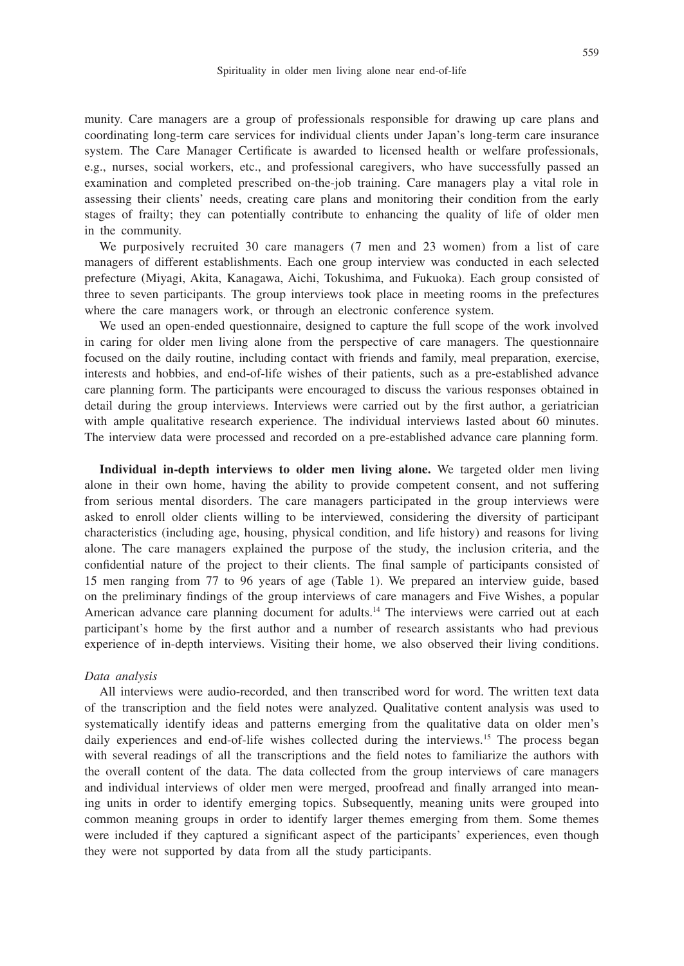munity. Care managers are a group of professionals responsible for drawing up care plans and coordinating long-term care services for individual clients under Japan's long-term care insurance system. The Care Manager Certificate is awarded to licensed health or welfare professionals, e.g., nurses, social workers, etc., and professional caregivers, who have successfully passed an examination and completed prescribed on-the-job training. Care managers play a vital role in assessing their clients' needs, creating care plans and monitoring their condition from the early stages of frailty; they can potentially contribute to enhancing the quality of life of older men in the community.

We purposively recruited 30 care managers (7 men and 23 women) from a list of care managers of different establishments. Each one group interview was conducted in each selected prefecture (Miyagi, Akita, Kanagawa, Aichi, Tokushima, and Fukuoka). Each group consisted of three to seven participants. The group interviews took place in meeting rooms in the prefectures where the care managers work, or through an electronic conference system.

We used an open-ended questionnaire, designed to capture the full scope of the work involved in caring for older men living alone from the perspective of care managers. The questionnaire focused on the daily routine, including contact with friends and family, meal preparation, exercise, interests and hobbies, and end-of-life wishes of their patients, such as a pre-established advance care planning form. The participants were encouraged to discuss the various responses obtained in detail during the group interviews. Interviews were carried out by the first author, a geriatrician with ample qualitative research experience. The individual interviews lasted about 60 minutes. The interview data were processed and recorded on a pre-established advance care planning form.

**Individual in-depth interviews to older men living alone.** We targeted older men living alone in their own home, having the ability to provide competent consent, and not suffering from serious mental disorders. The care managers participated in the group interviews were asked to enroll older clients willing to be interviewed, considering the diversity of participant characteristics (including age, housing, physical condition, and life history) and reasons for living alone. The care managers explained the purpose of the study, the inclusion criteria, and the confidential nature of the project to their clients. The final sample of participants consisted of 15 men ranging from 77 to 96 years of age (Table 1). We prepared an interview guide, based on the preliminary findings of the group interviews of care managers and Five Wishes, a popular American advance care planning document for adults.<sup>14</sup> The interviews were carried out at each participant's home by the first author and a number of research assistants who had previous experience of in-depth interviews. Visiting their home, we also observed their living conditions.

#### *Data analysis*

All interviews were audio-recorded, and then transcribed word for word. The written text data of the transcription and the field notes were analyzed. Qualitative content analysis was used to systematically identify ideas and patterns emerging from the qualitative data on older men's daily experiences and end-of-life wishes collected during the interviews.<sup>15</sup> The process began with several readings of all the transcriptions and the field notes to familiarize the authors with the overall content of the data. The data collected from the group interviews of care managers and individual interviews of older men were merged, proofread and finally arranged into meaning units in order to identify emerging topics. Subsequently, meaning units were grouped into common meaning groups in order to identify larger themes emerging from them. Some themes were included if they captured a significant aspect of the participants' experiences, even though they were not supported by data from all the study participants.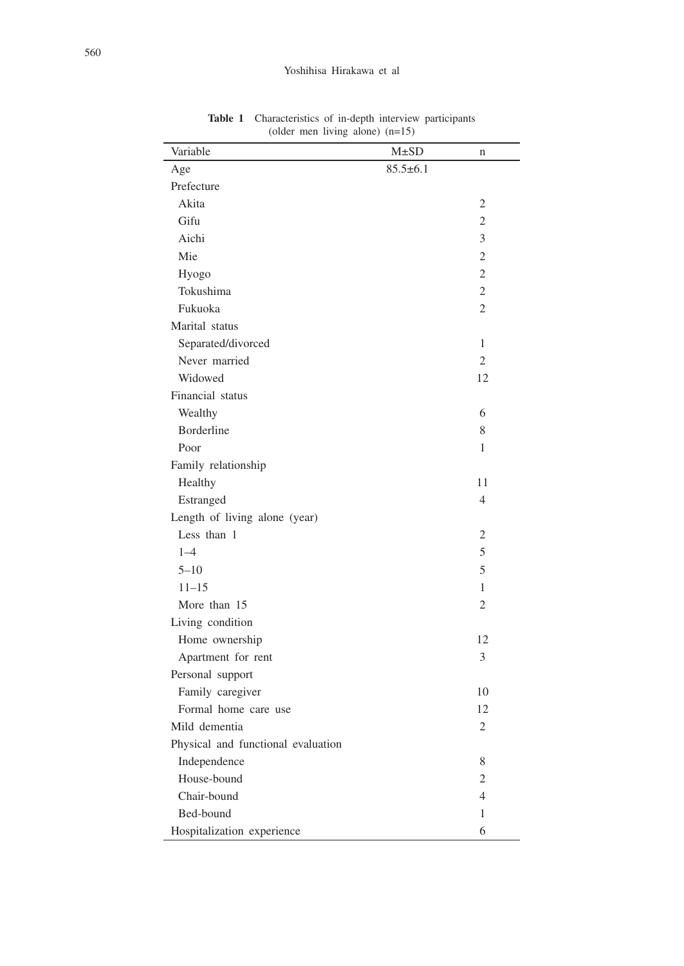| Variable                           | $M\pm SD$      | n              |
|------------------------------------|----------------|----------------|
| Age                                | $85.5 \pm 6.1$ |                |
| Prefecture                         |                |                |
| Akita                              |                | 2              |
| Gifu                               |                | $\overline{2}$ |
| Aichi                              |                | 3              |
| Mie                                |                | $\overline{2}$ |
| Hyogo                              |                | $\overline{2}$ |
| Tokushima                          |                | $\mathfrak{2}$ |
| Fukuoka                            |                | $\overline{2}$ |
| Marital status                     |                |                |
| Separated/divorced                 |                | $\mathbf{1}$   |
| Never married                      |                | $\overline{2}$ |
| Widowed                            |                | 12             |
| Financial status                   |                |                |
| Wealthy                            |                | 6              |
| <b>Borderline</b>                  |                | 8              |
| Poor                               |                | 1              |
| Family relationship                |                |                |
| Healthy                            |                | 11             |
| Estranged                          |                | $\overline{4}$ |
| Length of living alone (year)      |                |                |
| Less than 1                        |                | $\overline{2}$ |
| $1 - 4$                            |                | 5              |
| $5 - 10$                           |                | 5              |
| $11 - 15$                          |                | $\mathbf{1}$   |
| More than 15                       |                | $\overline{2}$ |
| Living condition                   |                |                |
| Home ownership                     |                | 12             |
| Apartment for rent                 |                | 3              |
| Personal support                   |                |                |
| Family caregiver                   |                | 10             |
| Formal home care use               |                | 12             |
| Mild dementia                      |                | $\overline{2}$ |
| Physical and functional evaluation |                |                |
| Independence                       |                | 8              |
| House-bound                        |                | $\overline{2}$ |
| Chair-bound                        |                | $\overline{4}$ |
| Bed-bound                          |                | 1              |
| Hospitalization experience         |                | 6              |

**Table 1** Characteristics of in-depth interview participants (older men living alone) (n=15)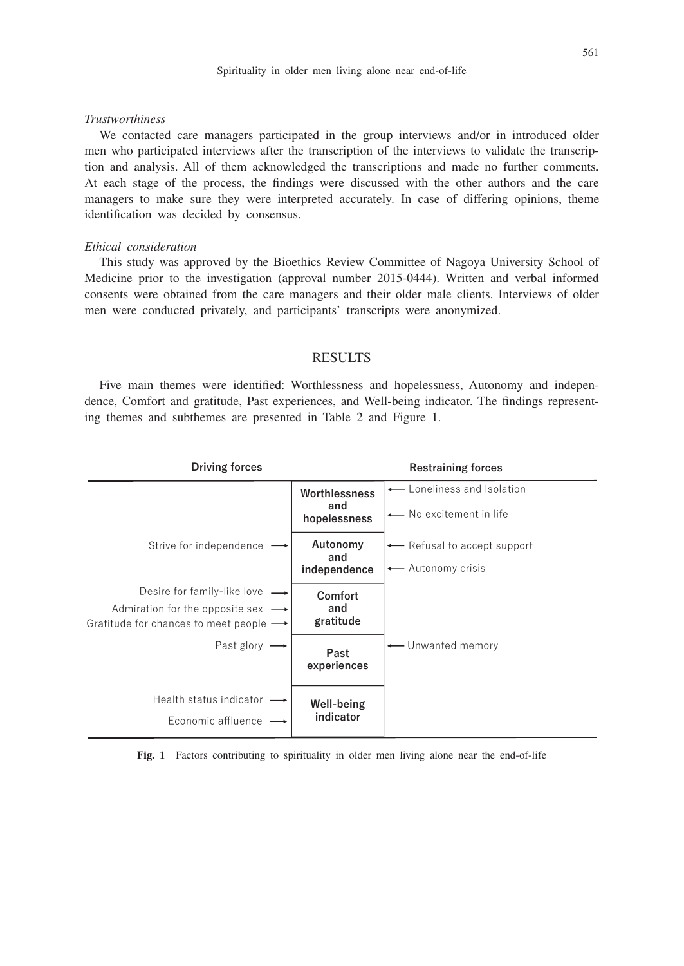#### *Trustworthiness*

We contacted care managers participated in the group interviews and/or in introduced older men who participated interviews after the transcription of the interviews to validate the transcription and analysis. All of them acknowledged the transcriptions and made no further comments. At each stage of the process, the findings were discussed with the other authors and the care managers to make sure they were interpreted accurately. In case of differing opinions, theme identification was decided by consensus.

#### *Ethical consideration*

This study was approved by the Bioethics Review Committee of Nagoya University School of Medicine prior to the investigation (approval number 2015-0444). Written and verbal informed consents were obtained from the care managers and their older male clients. Interviews of older men were conducted privately, and participants' transcripts were anonymized.

## RESULTS

Five main themes were identified: Worthlessness and hopelessness, Autonomy and independence, Comfort and gratitude, Past experiences, and Well-being indicator. The findings representing themes and subthemes are presented in Table 2 and Figure 1.



**Fig. 1** Factors contributing to spirituality in older men living alone near the end-of-life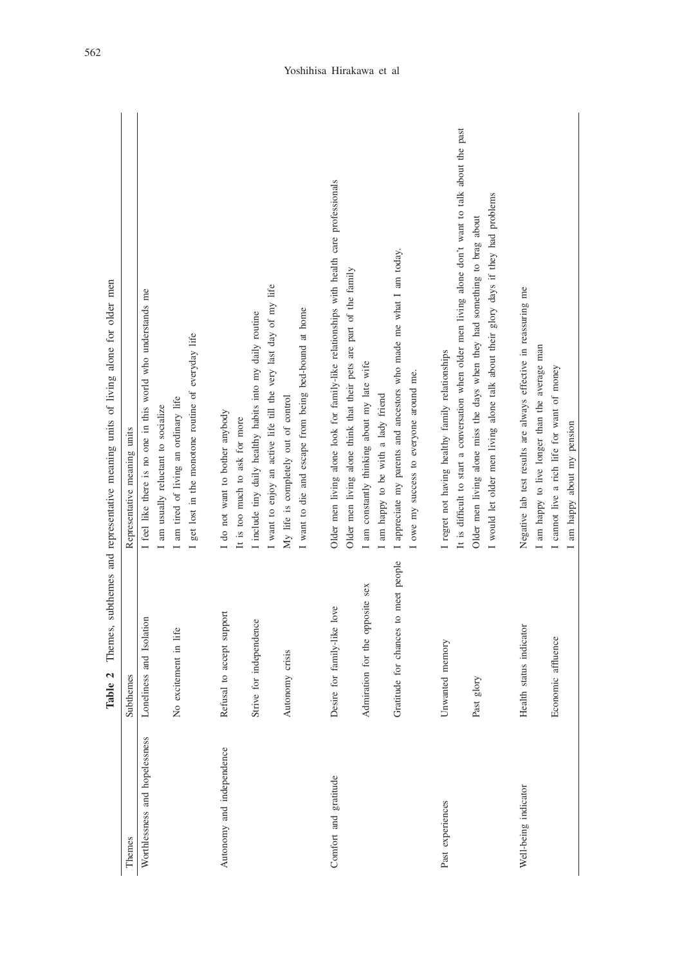| man                                   |
|---------------------------------------|
| į<br>١                                |
| $\frac{1}{2}$<br>$\frac{1}{2}$        |
| $\frac{1}{2}$<br>$\ddot{\phantom{a}}$ |
| Ĩ<br>$\alpha$ living<br>ì             |
|                                       |
| ┋<br>í                                |
| $\frac{1}{2}$                         |
| and represent<br>í                    |
|                                       |
| hamac<br>anh<br>$\vdots$              |
| $\cdots$<br>Themes                    |
| J                                     |
| able<br>Ē                             |

|                                | Table 2                              | Themes, subthemes and representative meaning units of living alone for older men                      |
|--------------------------------|--------------------------------------|-------------------------------------------------------------------------------------------------------|
| Themes                         | Subthemes                            | Representative meaning units                                                                          |
| Worthlessness and hopelessness | Loneliness and Isolation             | I feel like there is no one in this world who understands me                                          |
|                                |                                      | I am usually reluctant to socialize                                                                   |
|                                | No excitement in life                | am tired of living an ordinary life                                                                   |
|                                |                                      | get lost in the monotone routine of everyday life                                                     |
| Autonomy and independence      | Refusal to accept support            | I do not want to bother anybody                                                                       |
|                                |                                      | It is too much to ask for more                                                                        |
|                                | Strive for independence              | I include tiny daily healthy habits into my daily routine                                             |
|                                |                                      | I want to enjoy an active life till the very last day of my life                                      |
|                                | Autonomy crisis                      | My life is completely out of control                                                                  |
|                                |                                      | I want to die and escape from being bed-bound at home                                                 |
| Comfort and gratitude          | Desire for family-like love          | Older men living alone look for family-like relationships with health care professionals              |
|                                |                                      | Older men living alone think that their pets are part of the family                                   |
|                                | Admiration for the opposite sex      | I am constantly thinking about my late wife                                                           |
|                                |                                      | I am happy to be with a lady friend                                                                   |
|                                | Gratitude for chances to meet people | I appreciate my parents and ancestors who made me what I am today.                                    |
|                                |                                      | I owe my success to everyone around me.                                                               |
| Past experiences               | Unwanted memory                      | I regret not having healthy family relationships                                                      |
|                                |                                      | It is difficult to start a conversation when older men living alone don't want to talk about the past |
|                                | glory<br>Past                        | Older men living alone miss the days when they had something to brag about                            |
|                                |                                      | I would let older men living alone talk about their glory days if they had problems                   |
| Well-being indicator           | Health status indicator              | Negative lab test results are always effective in reassuring me                                       |
|                                |                                      | I am happy to live longer than the average man                                                        |
|                                | Economic affluence                   | I cannot live a rich life for want of money                                                           |
|                                |                                      | am happy about my pension                                                                             |
|                                |                                      |                                                                                                       |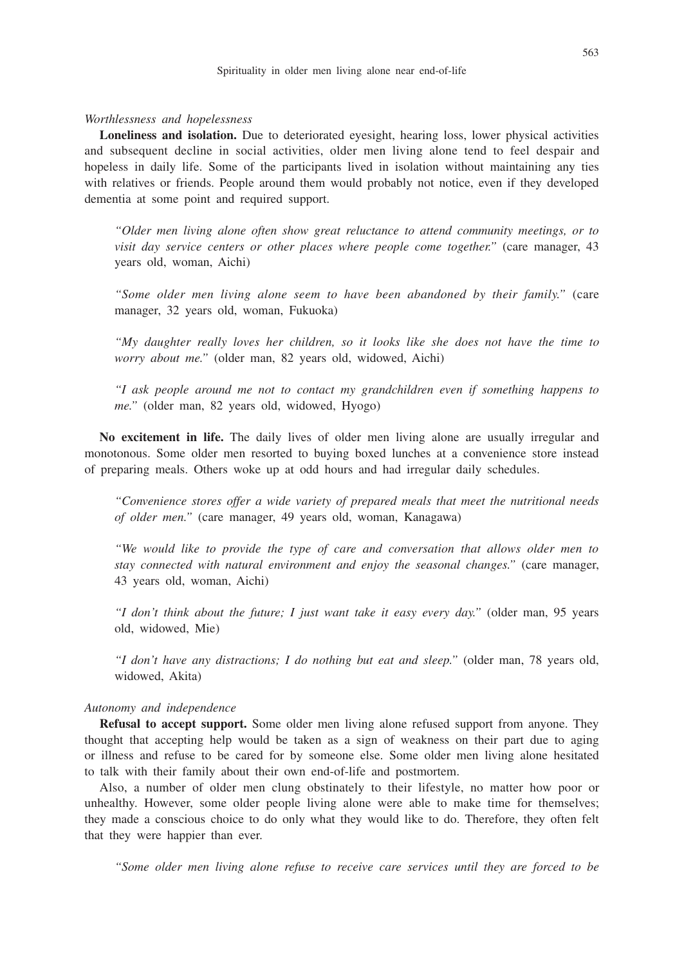*Worthlessness and hopelessness*

**Loneliness and isolation.** Due to deteriorated eyesight, hearing loss, lower physical activities and subsequent decline in social activities, older men living alone tend to feel despair and hopeless in daily life. Some of the participants lived in isolation without maintaining any ties with relatives or friends. People around them would probably not notice, even if they developed dementia at some point and required support.

*"Older men living alone often show great reluctance to attend community meetings, or to visit day service centers or other places where people come together."* (care manager, 43 years old, woman, Aichi)

*"Some older men living alone seem to have been abandoned by their family."* (care manager, 32 years old, woman, Fukuoka)

*"My daughter really loves her children, so it looks like she does not have the time to worry about me."* (older man, 82 years old, widowed, Aichi)

*"I ask people around me not to contact my grandchildren even if something happens to me."* (older man, 82 years old, widowed, Hyogo)

**No excitement in life.** The daily lives of older men living alone are usually irregular and monotonous. Some older men resorted to buying boxed lunches at a convenience store instead of preparing meals. Others woke up at odd hours and had irregular daily schedules.

*"Convenience stores offer a wide variety of prepared meals that meet the nutritional needs of older men."* (care manager, 49 years old, woman, Kanagawa)

*"We would like to provide the type of care and conversation that allows older men to stay connected with natural environment and enjoy the seasonal changes."* (care manager, 43 years old, woman, Aichi)

*"I don't think about the future; I just want take it easy every day."* (older man, 95 years old, widowed, Mie)

*"I don't have any distractions; I do nothing but eat and sleep."* (older man, 78 years old, widowed, Akita)

#### *Autonomy and independence*

**Refusal to accept support.** Some older men living alone refused support from anyone. They thought that accepting help would be taken as a sign of weakness on their part due to aging or illness and refuse to be cared for by someone else. Some older men living alone hesitated to talk with their family about their own end-of-life and postmortem.

Also, a number of older men clung obstinately to their lifestyle, no matter how poor or unhealthy. However, some older people living alone were able to make time for themselves; they made a conscious choice to do only what they would like to do. Therefore, they often felt that they were happier than ever.

*"Some older men living alone refuse to receive care services until they are forced to be*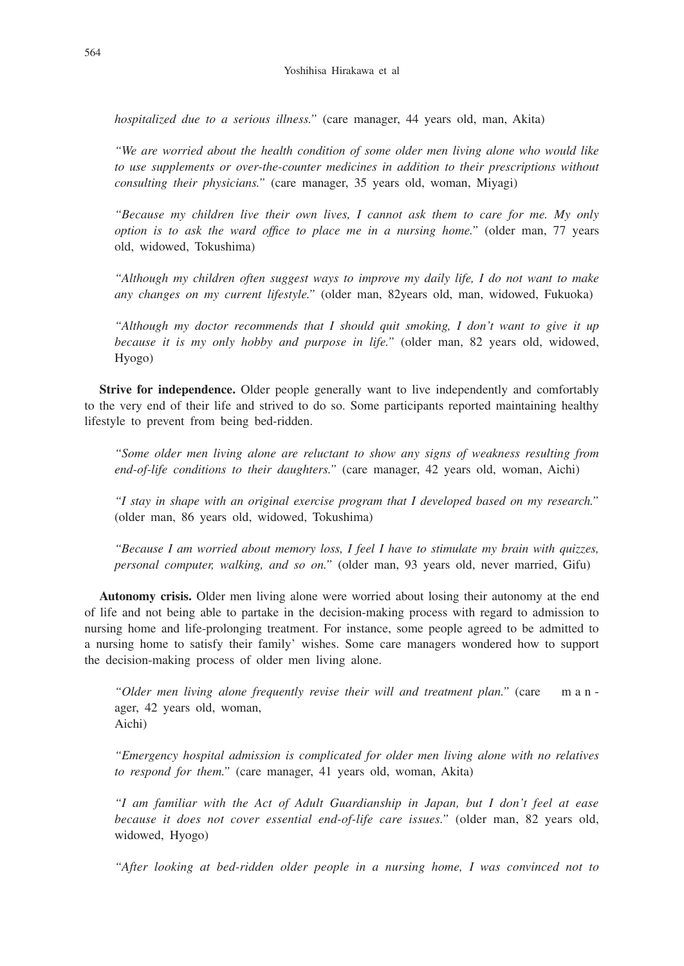*hospitalized due to a serious illness."* (care manager, 44 years old, man, Akita)

*"We are worried about the health condition of some older men living alone who would like to use supplements or over-the-counter medicines in addition to their prescriptions without consulting their physicians."* (care manager, 35 years old, woman, Miyagi)

*"Because my children live their own lives, I cannot ask them to care for me. My only option is to ask the ward office to place me in a nursing home."* (older man, 77 years old, widowed, Tokushima)

*"Although my children often suggest ways to improve my daily life, I do not want to make any changes on my current lifestyle."* (older man, 82years old, man, widowed, Fukuoka)

*"Although my doctor recommends that I should quit smoking, I don't want to give it up because it is my only hobby and purpose in life."* (older man, 82 years old, widowed, Hyogo)

**Strive for independence.** Older people generally want to live independently and comfortably to the very end of their life and strived to do so. Some participants reported maintaining healthy lifestyle to prevent from being bed-ridden.

*"Some older men living alone are reluctant to show any signs of weakness resulting from end-of-life conditions to their daughters."* (care manager, 42 years old, woman, Aichi)

*"I stay in shape with an original exercise program that I developed based on my research."* (older man, 86 years old, widowed, Tokushima)

*"Because I am worried about memory loss, I feel I have to stimulate my brain with quizzes, personal computer, walking, and so on."* (older man, 93 years old, never married, Gifu)

**Autonomy crisis.** Older men living alone were worried about losing their autonomy at the end of life and not being able to partake in the decision-making process with regard to admission to nursing home and life-prolonging treatment. For instance, some people agreed to be admitted to a nursing home to satisfy their family' wishes. Some care managers wondered how to support the decision-making process of older men living alone.

*"Older men living alone frequently revise their will and treatment plan."* (care m a n ager, 42 years old, woman, Aichi)

*"Emergency hospital admission is complicated for older men living alone with no relatives to respond for them."* (care manager, 41 years old, woman, Akita)

*"I am familiar with the Act of Adult Guardianship in Japan, but I don't feel at ease because it does not cover essential end-of-life care issues."* (older man, 82 years old, widowed, Hyogo)

*"After looking at bed-ridden older people in a nursing home, I was convinced not to*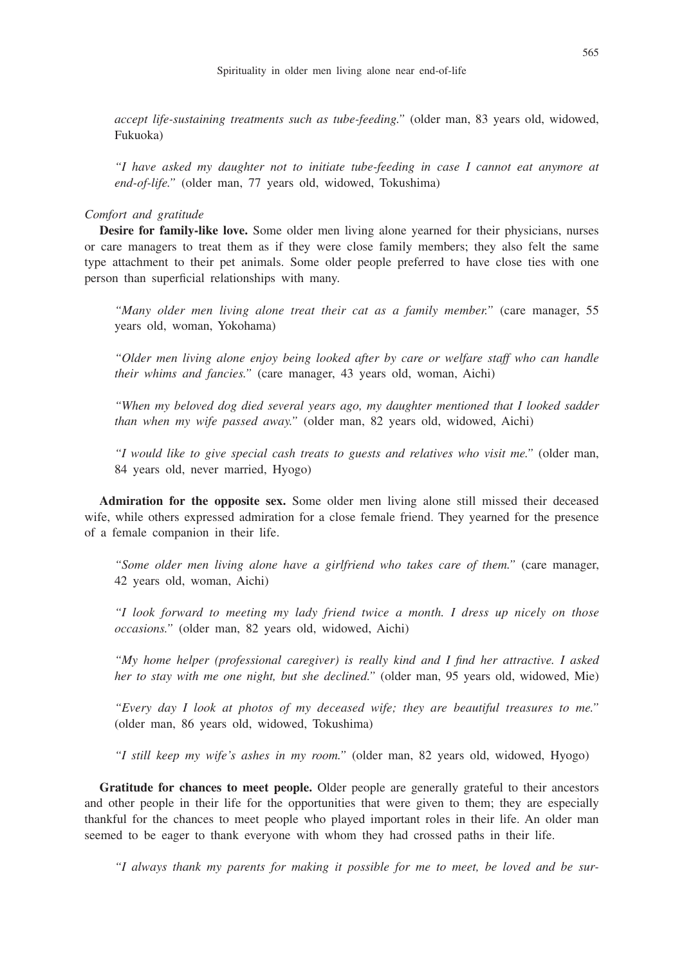*accept life-sustaining treatments such as tube-feeding."* (older man, 83 years old, widowed, Fukuoka)

*"I have asked my daughter not to initiate tube-feeding in case I cannot eat anymore at end-of-life."* (older man, 77 years old, widowed, Tokushima)

#### *Comfort and gratitude*

**Desire for family-like love.** Some older men living alone yearned for their physicians, nurses or care managers to treat them as if they were close family members; they also felt the same type attachment to their pet animals. Some older people preferred to have close ties with one person than superficial relationships with many.

*"Many older men living alone treat their cat as a family member."* (care manager, 55 years old, woman, Yokohama)

*"Older men living alone enjoy being looked after by care or welfare staff who can handle their whims and fancies."* (care manager, 43 years old, woman, Aichi)

*"When my beloved dog died several years ago, my daughter mentioned that I looked sadder than when my wife passed away."* (older man, 82 years old, widowed, Aichi)

*"I would like to give special cash treats to guests and relatives who visit me."* (older man, 84 years old, never married, Hyogo)

**Admiration for the opposite sex.** Some older men living alone still missed their deceased wife, while others expressed admiration for a close female friend. They yearned for the presence of a female companion in their life.

*"Some older men living alone have a girlfriend who takes care of them."* (care manager, 42 years old, woman, Aichi)

*"I look forward to meeting my lady friend twice a month. I dress up nicely on those occasions."* (older man, 82 years old, widowed, Aichi)

*"My home helper (professional caregiver) is really kind and I find her attractive. I asked her to stay with me one night, but she declined."* (older man, 95 years old, widowed, Mie)

*"Every day I look at photos of my deceased wife; they are beautiful treasures to me."* (older man, 86 years old, widowed, Tokushima)

*"I still keep my wife's ashes in my room."* (older man, 82 years old, widowed, Hyogo)

**Gratitude for chances to meet people.** Older people are generally grateful to their ancestors and other people in their life for the opportunities that were given to them; they are especially thankful for the chances to meet people who played important roles in their life. An older man seemed to be eager to thank everyone with whom they had crossed paths in their life.

*"I always thank my parents for making it possible for me to meet, be loved and be sur-*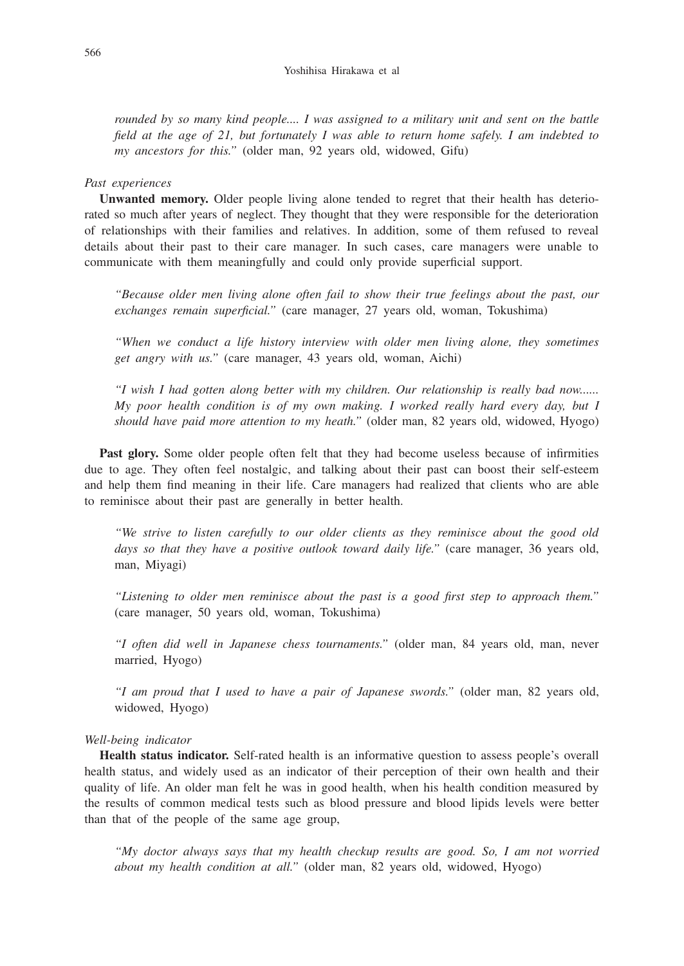*rounded by so many kind people.... I was assigned to a military unit and sent on the battle field at the age of 21, but fortunately I was able to return home safely. I am indebted to my ancestors for this."* (older man, 92 years old, widowed, Gifu)

#### *Past experiences*

**Unwanted memory.** Older people living alone tended to regret that their health has deteriorated so much after years of neglect. They thought that they were responsible for the deterioration of relationships with their families and relatives. In addition, some of them refused to reveal details about their past to their care manager. In such cases, care managers were unable to communicate with them meaningfully and could only provide superficial support.

*"Because older men living alone often fail to show their true feelings about the past, our exchanges remain superficial."* (care manager, 27 years old, woman, Tokushima)

*"When we conduct a life history interview with older men living alone, they sometimes get angry with us."* (care manager, 43 years old, woman, Aichi)

*"I wish I had gotten along better with my children. Our relationship is really bad now...... My poor health condition is of my own making. I worked really hard every day, but I should have paid more attention to my heath."* (older man, 82 years old, widowed, Hyogo)

**Past glory.** Some older people often felt that they had become useless because of infirmities due to age. They often feel nostalgic, and talking about their past can boost their self-esteem and help them find meaning in their life. Care managers had realized that clients who are able to reminisce about their past are generally in better health.

*"We strive to listen carefully to our older clients as they reminisce about the good old days so that they have a positive outlook toward daily life."* (care manager, 36 years old, man, Miyagi)

*"Listening to older men reminisce about the past is a good first step to approach them."* (care manager, 50 years old, woman, Tokushima)

*"I often did well in Japanese chess tournaments."* (older man, 84 years old, man, never married, Hyogo)

*"I am proud that I used to have a pair of Japanese swords."* (older man, 82 years old, widowed, Hyogo)

#### *Well-being indicator*

**Health status indicator.** Self-rated health is an informative question to assess people's overall health status, and widely used as an indicator of their perception of their own health and their quality of life. An older man felt he was in good health, when his health condition measured by the results of common medical tests such as blood pressure and blood lipids levels were better than that of the people of the same age group,

*"My doctor always says that my health checkup results are good. So, I am not worried about my health condition at all."* (older man, 82 years old, widowed, Hyogo)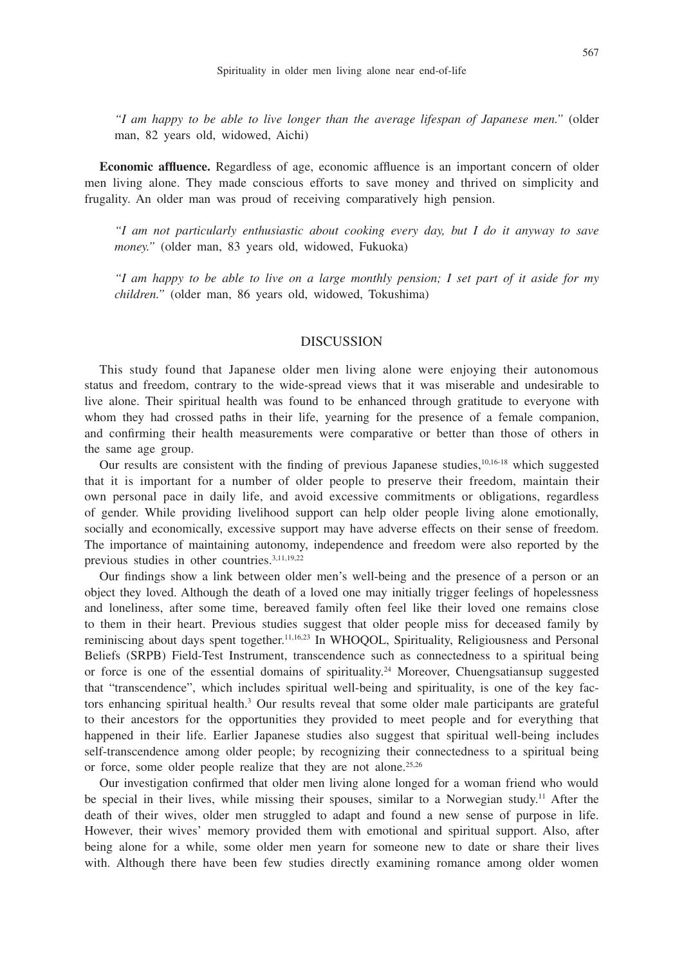*"I am happy to be able to live longer than the average lifespan of Japanese men."* (older man, 82 years old, widowed, Aichi)

**Economic affluence.** Regardless of age, economic affluence is an important concern of older men living alone. They made conscious efforts to save money and thrived on simplicity and frugality. An older man was proud of receiving comparatively high pension.

*"I am not particularly enthusiastic about cooking every day, but I do it anyway to save money."* (older man, 83 years old, widowed, Fukuoka)

*"I am happy to be able to live on a large monthly pension; I set part of it aside for my children."* (older man, 86 years old, widowed, Tokushima)

## **DISCUSSION**

This study found that Japanese older men living alone were enjoying their autonomous status and freedom, contrary to the wide-spread views that it was miserable and undesirable to live alone. Their spiritual health was found to be enhanced through gratitude to everyone with whom they had crossed paths in their life, yearning for the presence of a female companion, and confirming their health measurements were comparative or better than those of others in the same age group.

Our results are consistent with the finding of previous Japanese studies,  $10,16-18$  which suggested that it is important for a number of older people to preserve their freedom, maintain their own personal pace in daily life, and avoid excessive commitments or obligations, regardless of gender. While providing livelihood support can help older people living alone emotionally, socially and economically, excessive support may have adverse effects on their sense of freedom. The importance of maintaining autonomy, independence and freedom were also reported by the previous studies in other countries.3,11,19,22

Our findings show a link between older men's well-being and the presence of a person or an object they loved. Although the death of a loved one may initially trigger feelings of hopelessness and loneliness, after some time, bereaved family often feel like their loved one remains close to them in their heart. Previous studies suggest that older people miss for deceased family by reminiscing about days spent together.<sup>11,16,23</sup> In WHOOOL, Spirituality, Religiousness and Personal Beliefs (SRPB) Field-Test Instrument, transcendence such as connectedness to a spiritual being or force is one of the essential domains of spirituality.<sup>24</sup> Moreover, Chuengsatiansup suggested that "transcendence", which includes spiritual well-being and spirituality, is one of the key factors enhancing spiritual health.<sup>3</sup> Our results reveal that some older male participants are grateful to their ancestors for the opportunities they provided to meet people and for everything that happened in their life. Earlier Japanese studies also suggest that spiritual well-being includes self-transcendence among older people; by recognizing their connectedness to a spiritual being or force, some older people realize that they are not alone.<sup>25,26</sup>

Our investigation confirmed that older men living alone longed for a woman friend who would be special in their lives, while missing their spouses, similar to a Norwegian study.<sup>11</sup> After the death of their wives, older men struggled to adapt and found a new sense of purpose in life. However, their wives' memory provided them with emotional and spiritual support. Also, after being alone for a while, some older men yearn for someone new to date or share their lives with. Although there have been few studies directly examining romance among older women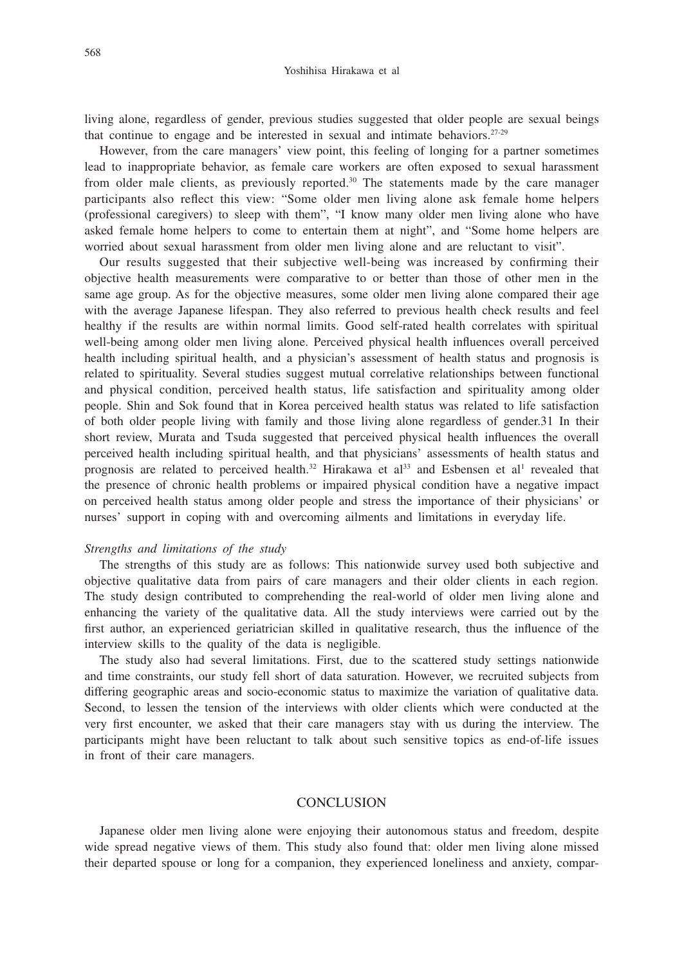living alone, regardless of gender, previous studies suggested that older people are sexual beings that continue to engage and be interested in sexual and intimate behaviors. $27-29$ 

However, from the care managers' view point, this feeling of longing for a partner sometimes lead to inappropriate behavior, as female care workers are often exposed to sexual harassment from older male clients, as previously reported.<sup>30</sup> The statements made by the care manager participants also reflect this view: "Some older men living alone ask female home helpers (professional caregivers) to sleep with them", "I know many older men living alone who have asked female home helpers to come to entertain them at night", and "Some home helpers are worried about sexual harassment from older men living alone and are reluctant to visit".

Our results suggested that their subjective well-being was increased by confirming their objective health measurements were comparative to or better than those of other men in the same age group. As for the objective measures, some older men living alone compared their age with the average Japanese lifespan. They also referred to previous health check results and feel healthy if the results are within normal limits. Good self-rated health correlates with spiritual well-being among older men living alone. Perceived physical health influences overall perceived health including spiritual health, and a physician's assessment of health status and prognosis is related to spirituality. Several studies suggest mutual correlative relationships between functional and physical condition, perceived health status, life satisfaction and spirituality among older people. Shin and Sok found that in Korea perceived health status was related to life satisfaction of both older people living with family and those living alone regardless of gender.31 In their short review, Murata and Tsuda suggested that perceived physical health influences the overall perceived health including spiritual health, and that physicians' assessments of health status and prognosis are related to perceived health.<sup>32</sup> Hirakawa et al<sup>33</sup> and Esbensen et al<sup>1</sup> revealed that the presence of chronic health problems or impaired physical condition have a negative impact on perceived health status among older people and stress the importance of their physicians' or nurses' support in coping with and overcoming ailments and limitations in everyday life.

#### *Strengths and limitations of the study*

The strengths of this study are as follows: This nationwide survey used both subjective and objective qualitative data from pairs of care managers and their older clients in each region. The study design contributed to comprehending the real-world of older men living alone and enhancing the variety of the qualitative data. All the study interviews were carried out by the first author, an experienced geriatrician skilled in qualitative research, thus the influence of the interview skills to the quality of the data is negligible.

The study also had several limitations. First, due to the scattered study settings nationwide and time constraints, our study fell short of data saturation. However, we recruited subjects from differing geographic areas and socio-economic status to maximize the variation of qualitative data. Second, to lessen the tension of the interviews with older clients which were conducted at the very first encounter, we asked that their care managers stay with us during the interview. The participants might have been reluctant to talk about such sensitive topics as end-of-life issues in front of their care managers.

### **CONCLUSION**

Japanese older men living alone were enjoying their autonomous status and freedom, despite wide spread negative views of them. This study also found that: older men living alone missed their departed spouse or long for a companion, they experienced loneliness and anxiety, compar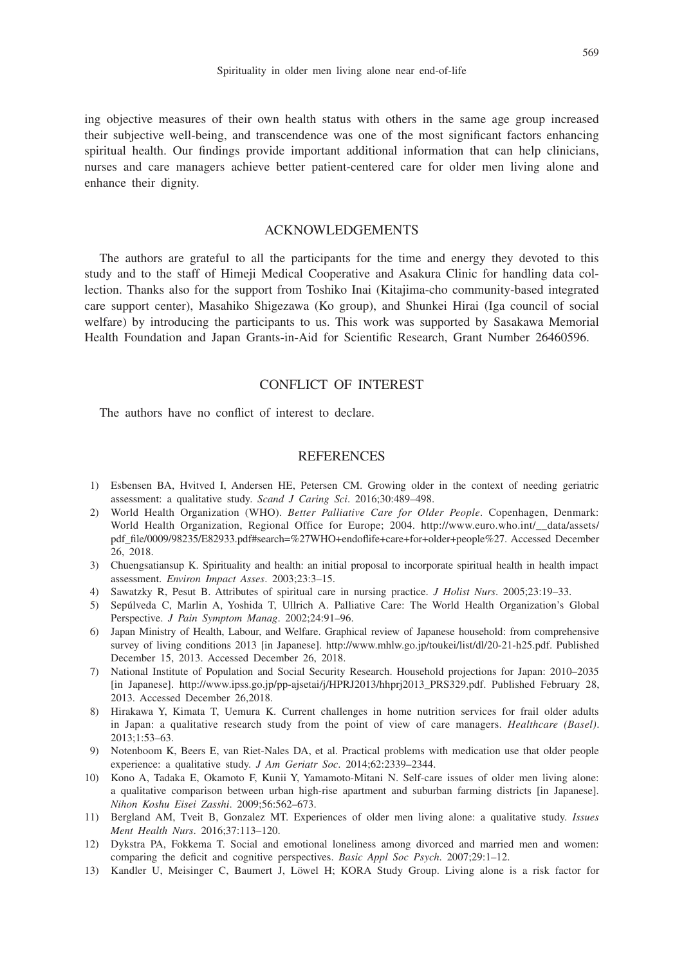ing objective measures of their own health status with others in the same age group increased their subjective well-being, and transcendence was one of the most significant factors enhancing spiritual health. Our findings provide important additional information that can help clinicians, nurses and care managers achieve better patient-centered care for older men living alone and enhance their dignity.

## ACKNOWLEDGEMENTS

The authors are grateful to all the participants for the time and energy they devoted to this study and to the staff of Himeji Medical Cooperative and Asakura Clinic for handling data collection. Thanks also for the support from Toshiko Inai (Kitajima-cho community-based integrated care support center), Masahiko Shigezawa (Ko group), and Shunkei Hirai (Iga council of social welfare) by introducing the participants to us. This work was supported by Sasakawa Memorial Health Foundation and Japan Grants-in-Aid for Scientific Research, Grant Number 26460596.

## CONFLICT OF INTEREST

The authors have no conflict of interest to declare.

## **REFERENCES**

- 1) Esbensen BA, Hvitved I, Andersen HE, Petersen CM. Growing older in the context of needing geriatric assessment: a qualitative study. *Scand J Caring Sci*. 2016;30:489–498.
- 2) World Health Organization (WHO). *Better Palliative Care for Older People*. Copenhagen, Denmark: World Health Organization, Regional Office for Europe; 2004. http://www.euro.who.int/\_\_data/assets/ pdf\_file/0009/98235/E82933.pdf#search=%27WHO+endoflife+care+for+older+people%27. Accessed December 26, 2018.
- 3) Chuengsatiansup K. Spirituality and health: an initial proposal to incorporate spiritual health in health impact assessment. *Environ Impact Asses*. 2003;23:3–15.
- 4) Sawatzky R, Pesut B. Attributes of spiritual care in nursing practice. *J Holist Nurs*. 2005;23:19–33.
- 5) Sepúlveda C, Marlin A, Yoshida T, Ullrich A. Palliative Care: The World Health Organization's Global Perspective. *J Pain Symptom Manag*. 2002;24:91–96.
- 6) Japan Ministry of Health, Labour, and Welfare. Graphical review of Japanese household: from comprehensive survey of living conditions 2013 [in Japanese]. http://www.mhlw.go.jp/toukei/list/dl/20-21-h25.pdf. Published December 15, 2013. Accessed December 26, 2018.
- 7) National Institute of Population and Social Security Research. Household projections for Japan: 2010–2035 [in Japanese]. http://www.ipss.go.jp/pp-ajsetai/j/HPRJ2013/hhprj2013\_PRS329.pdf. Published February 28, 2013. Accessed December 26,2018.
- 8) Hirakawa Y, Kimata T, Uemura K. Current challenges in home nutrition services for frail older adults in Japan: a qualitative research study from the point of view of care managers. *Healthcare (Basel)*. 2013;1:53–63.
- 9) Notenboom K, Beers E, van Riet-Nales DA, et al. Practical problems with medication use that older people experience: a qualitative study. *J Am Geriatr Soc*. 2014;62:2339–2344.
- 10) Kono A, Tadaka E, Okamoto F, Kunii Y, Yamamoto-Mitani N. Self-care issues of older men living alone: a qualitative comparison between urban high-rise apartment and suburban farming districts [in Japanese]. *Nihon Koshu Eisei Zasshi*. 2009;56:562–673.
- 11) Bergland AM, Tveit B, Gonzalez MT. Experiences of older men living alone: a qualitative study. *Issues Ment Health Nurs*. 2016;37:113–120.
- 12) Dykstra PA, Fokkema T. Social and emotional loneliness among divorced and married men and women: comparing the deficit and cognitive perspectives. *Basic Appl Soc Psych*. 2007;29:1–12.
- 13) Kandler U, Meisinger C, Baumert J, Löwel H; KORA Study Group. Living alone is a risk factor for